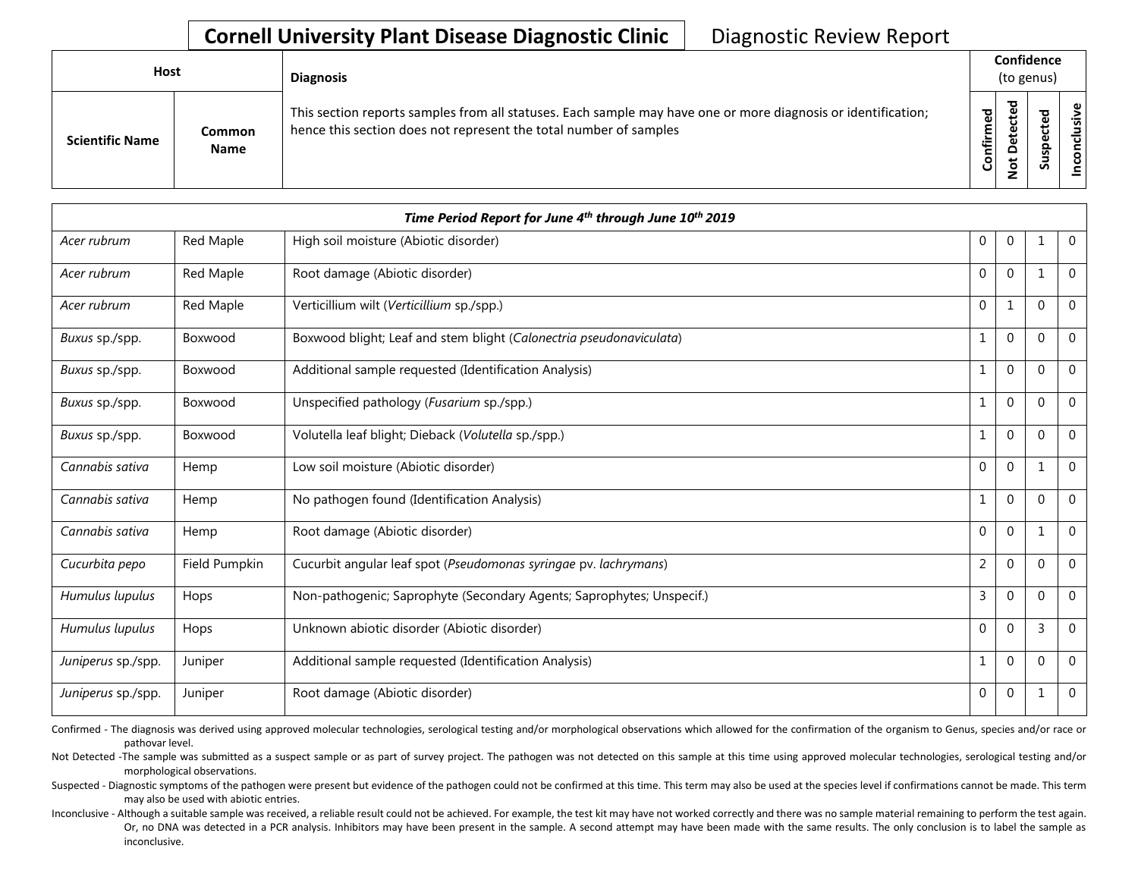## **Cornell University Plant Disease Diagnostic Clinic | Diagnostic Review Report**

| Host |                        |                              | <b>Diagnosis</b>                                                                                                                                                                   |           | Confidence<br>(to genus) |   |                    |  |  |
|------|------------------------|------------------------------|------------------------------------------------------------------------------------------------------------------------------------------------------------------------------------|-----------|--------------------------|---|--------------------|--|--|
|      | <b>Scientific Name</b> | <b>Common</b><br><b>Name</b> | This section reports samples from all statuses. Each sample may have one or more diagnosis or identification;<br>hence this section does not represent the total number of samples | Confirmed | 73<br>o                  | s | usive<br>᠊ᠣ<br>CON |  |  |

| Time Period Report for June 4th through June 10th 2019 |               |                                                                       |                |                  |          |                |  |
|--------------------------------------------------------|---------------|-----------------------------------------------------------------------|----------------|------------------|----------|----------------|--|
| Acer rubrum                                            | Red Maple     | High soil moisture (Abiotic disorder)                                 | 0              | $\mathbf 0$      |          | $\mathbf{0}$   |  |
| Acer rubrum                                            | Red Maple     | Root damage (Abiotic disorder)                                        | 0              | $\mathbf{0}$     |          | $\overline{0}$ |  |
| Acer rubrum                                            | Red Maple     | Verticillium wilt (Verticillium sp./spp.)                             | 0              | 1                | $\Omega$ | $\mathbf{0}$   |  |
| Buxus sp./spp.                                         | Boxwood       | Boxwood blight; Leaf and stem blight (Calonectria pseudonaviculata)   | 1              | $\mathbf{0}$     | $\Omega$ | $\mathbf 0$    |  |
| Buxus sp./spp.                                         | Boxwood       | Additional sample requested (Identification Analysis)                 | 1              | $\mathbf{0}$     | $\Omega$ | $\mathbf{0}$   |  |
| Buxus sp./spp.                                         | Boxwood       | Unspecified pathology (Fusarium sp./spp.)                             | 1              | $\mathbf{0}$     | $\Omega$ | $\mathbf 0$    |  |
| Buxus sp./spp.                                         | Boxwood       | Volutella leaf blight; Dieback (Volutella sp./spp.)                   | $\mathbf{1}$   | $\mathbf{0}$     | $\Omega$ | $\mathbf{0}$   |  |
| Cannabis sativa                                        | Hemp          | Low soil moisture (Abiotic disorder)                                  | $\mathbf 0$    | $\mathbf{0}$     |          | $\mathbf{0}$   |  |
| Cannabis sativa                                        | Hemp          | No pathogen found (Identification Analysis)                           | 1              | $\mathbf{0}$     | $\Omega$ | $\mathbf 0$    |  |
| Cannabis sativa                                        | Hemp          | Root damage (Abiotic disorder)                                        | $\mathbf{0}$   | $\mathbf{0}$     | 1        | $\overline{0}$ |  |
| Cucurbita pepo                                         | Field Pumpkin | Cucurbit angular leaf spot (Pseudomonas syringae pv. lachrymans)      | $\overline{2}$ | $\boldsymbol{0}$ | $\Omega$ | $\mathbf{0}$   |  |
| Humulus lupulus                                        | Hops          | Non-pathogenic; Saprophyte (Secondary Agents; Saprophytes; Unspecif.) | 3              | $\mathbf{0}$     | $\Omega$ | $\mathbf{0}$   |  |
| Humulus lupulus                                        | Hops          | Unknown abiotic disorder (Abiotic disorder)                           | 0              | $\mathbf{0}$     | 3        | $\mathbf 0$    |  |
| Juniperus sp./spp.                                     | Juniper       | Additional sample requested (Identification Analysis)                 | 1              | $\mathbf{0}$     | $\Omega$ | $\mathbf{0}$   |  |
| Juniperus sp./spp.                                     | Juniper       | Root damage (Abiotic disorder)                                        | 0              | 0                |          | $\mathbf 0$    |  |

Confirmed - The diagnosis was derived using approved molecular technologies, serological testing and/or morphological observations which allowed for the confirmation of the organism to Genus, species and/or race or pathovar level.

Not Detected -The sample was submitted as a suspect sample or as part of survey project. The pathogen was not detected on this sample at this time using approved molecular technologies, serological testing and/or morphological observations.

Suspected - Diagnostic symptoms of the pathogen were present but evidence of the pathogen could not be confirmed at this time. This term may also be used at the species level if confirmations cannot be made. This term may also be used with abiotic entries.

Or, no DNA was detected in a PCR analysis. Inhibitors may have been present in the sample. A second attempt may have been made with the same results. The only conclusion is to label the sample as Inconclusive - Although a suitable sample was received, a reliable result could not be achieved. For example, the test kit may have not worked correctly and there was no sample material remaining to perform the test again. inconclusive.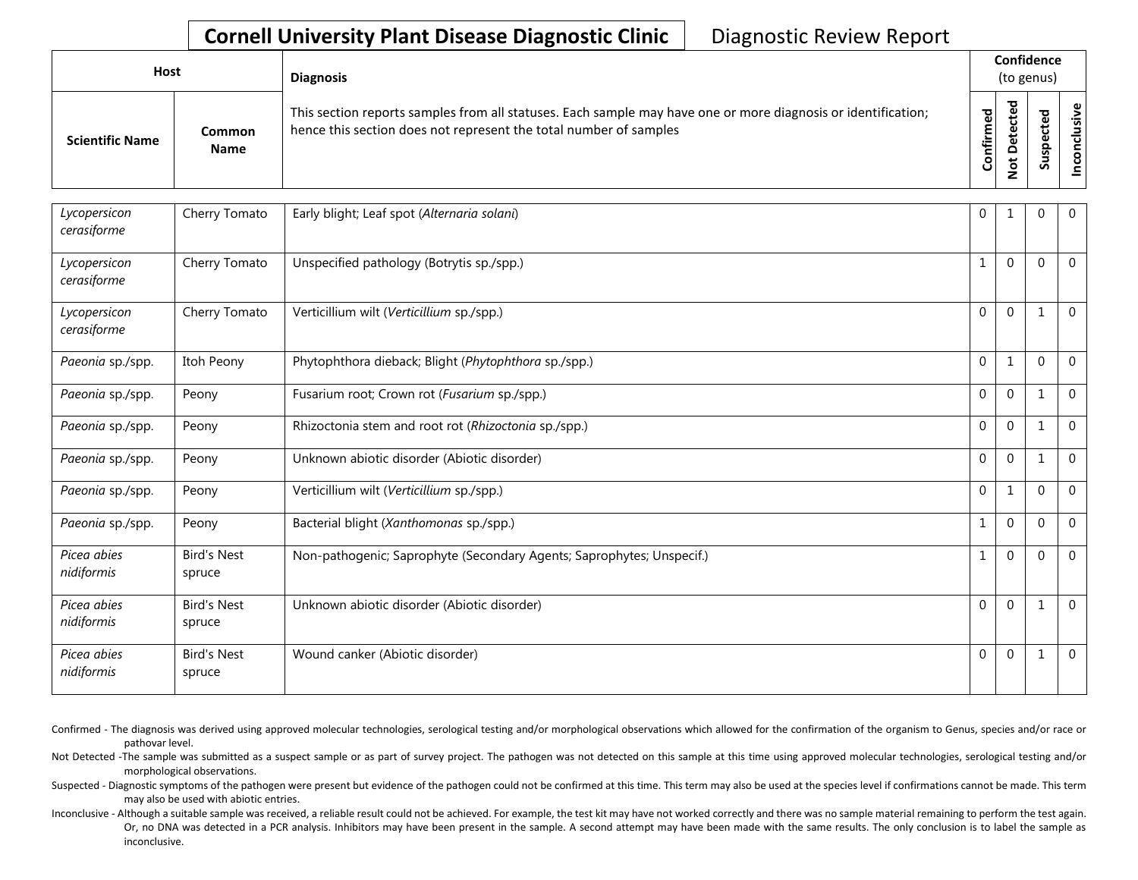## **Cornell University Plant Disease Diagnostic Clinic | Diagnostic Review Report**

| Host                   |                              | <b>Diagnosis</b>                                                                                                                                                                   |           | Confidence<br>(to genus)            |        |  |  |  |
|------------------------|------------------------------|------------------------------------------------------------------------------------------------------------------------------------------------------------------------------------|-----------|-------------------------------------|--------|--|--|--|
| <b>Scientific Name</b> | <b>Common</b><br><b>Name</b> | This section reports samples from all statuses. Each sample may have one or more diagnosis or identification;<br>hence this section does not represent the total number of samples | Confirmed | ъ<br>υ<br>$\Omega$<br>سە<br>$\circ$ | ъ<br>n |  |  |  |

| Lycopersicon<br>cerasiforme | Cherry Tomato                | Early blight; Leaf spot (Alternaria solani)                           | 0            |              | 0            | $\overline{0}$ |
|-----------------------------|------------------------------|-----------------------------------------------------------------------|--------------|--------------|--------------|----------------|
| Lycopersicon<br>cerasiforme | Cherry Tomato                | Unspecified pathology (Botrytis sp./spp.)                             | 1            | $\mathbf{0}$ | $\Omega$     | $\overline{0}$ |
| Lycopersicon<br>cerasiforme | Cherry Tomato                | Verticillium wilt (Verticillium sp./spp.)                             | $\Omega$     | $\mathbf{0}$ |              | $\mathbf{0}$   |
| Paeonia sp./spp.            | Itoh Peony                   | Phytophthora dieback; Blight (Phytophthora sp./spp.)                  | $\mathbf{0}$ | 1            | $\Omega$     | $\mathbf{0}$   |
| Paeonia sp./spp.            | Peony                        | Fusarium root; Crown rot (Fusarium sp./spp.)                          | $\mathbf{0}$ | $\mathbf{0}$ |              | $\mathbf 0$    |
| Paeonia sp./spp.            | Peony                        | Rhizoctonia stem and root rot (Rhizoctonia sp./spp.)                  | $\Omega$     | $\mathbf{0}$ | 1            | $\overline{0}$ |
| Paeonia sp./spp.            | Peony                        | Unknown abiotic disorder (Abiotic disorder)                           | $\Omega$     | $\mathbf{0}$ | $\mathbf{1}$ | $\mathbf 0$    |
| Paeonia sp./spp.            | Peony                        | Verticillium wilt (Verticillium sp./spp.)                             | $\mathbf{0}$ | 1            | $\mathbf 0$  | $\mathbf 0$    |
| Paeonia sp./spp.            | Peony                        | Bacterial blight (Xanthomonas sp./spp.)                               |              | $\mathbf{0}$ | $\Omega$     | $\mathbf{0}$   |
| Picea abies<br>nidiformis   | <b>Bird's Nest</b><br>spruce | Non-pathogenic; Saprophyte (Secondary Agents; Saprophytes; Unspecif.) | 1            | $\mathbf{0}$ | $\Omega$     | $\overline{0}$ |
| Picea abies<br>nidiformis   | <b>Bird's Nest</b><br>spruce | Unknown abiotic disorder (Abiotic disorder)                           | $\Omega$     | $\mathbf{0}$ | $\mathbf{1}$ | $\overline{0}$ |
| Picea abies<br>nidiformis   | <b>Bird's Nest</b><br>spruce | Wound canker (Abiotic disorder)                                       | $\mathbf{0}$ | $\mathbf{0}$ | 1            | $\overline{0}$ |

Confirmed - The diagnosis was derived using approved molecular technologies, serological testing and/or morphological observations which allowed for the confirmation of the organism to Genus, species and/or race or pathovar level.

Not Detected -The sample was submitted as a suspect sample or as part of survey project. The pathogen was not detected on this sample at this time using approved molecular technologies, serological testing and/or morphological observations.

Suspected - Diagnostic symptoms of the pathogen were present but evidence of the pathogen could not be confirmed at this time. This term may also be used at the species level if confirmations cannot be made. This term may also be used with abiotic entries.

Or, no DNA was detected in a PCR analysis. Inhibitors may have been present in the sample. A second attempt may have been made with the same results. The only conclusion is to label the sample as Inconclusive - Although a suitable sample was received, a reliable result could not be achieved. For example, the test kit may have not worked correctly and there was no sample material remaining to perform the test again. inconclusive.